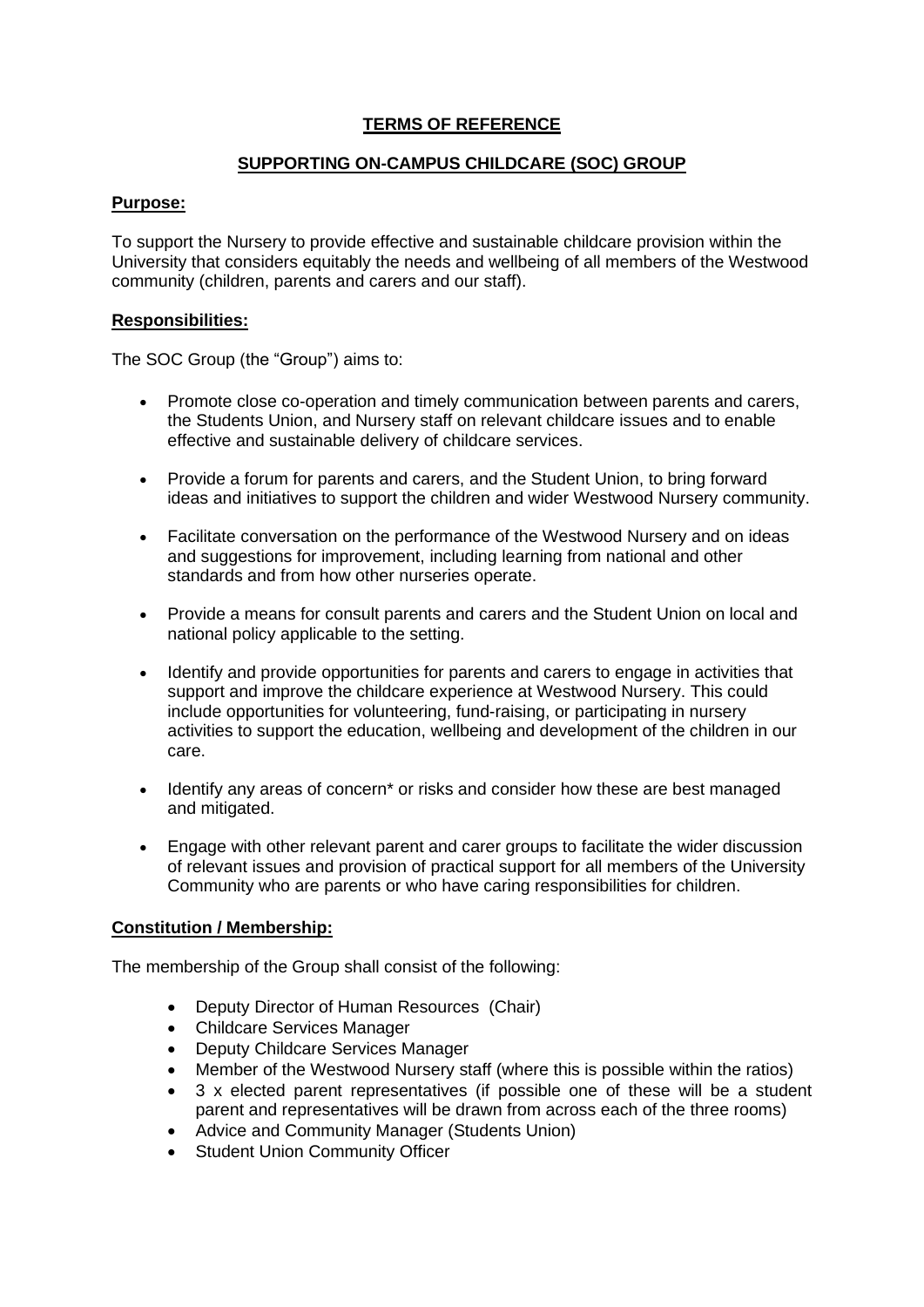# **TERMS OF REFERENCE**

### **SUPPORTING ON-CAMPUS CHILDCARE (SOC) GROUP**

# **Purpose:**

To support the Nursery to provide effective and sustainable childcare provision within the University that considers equitably the needs and wellbeing of all members of the Westwood community (children, parents and carers and our staff).

### **Responsibilities:**

The SOC Group (the "Group") aims to:

- Promote close co-operation and timely communication between parents and carers, the Students Union, and Nursery staff on relevant childcare issues and to enable effective and sustainable delivery of childcare services.
- Provide a forum for parents and carers, and the Student Union, to bring forward ideas and initiatives to support the children and wider Westwood Nursery community.
- Facilitate conversation on the performance of the Westwood Nursery and on ideas and suggestions for improvement, including learning from national and other standards and from how other nurseries operate.
- Provide a means for consult parents and carers and the Student Union on local and national policy applicable to the setting.
- Identify and provide opportunities for parents and carers to engage in activities that support and improve the childcare experience at Westwood Nursery. This could include opportunities for volunteering, fund-raising, or participating in nursery activities to support the education, wellbeing and development of the children in our care.
- Identify any areas of concern\* or risks and consider how these are best managed and mitigated.
- Engage with other relevant parent and carer groups to facilitate the wider discussion of relevant issues and provision of practical support for all members of the University Community who are parents or who have caring responsibilities for children.

### **Constitution / Membership:**

The membership of the Group shall consist of the following:

- Deputy Director of Human Resources (Chair)
- Childcare Services Manager
- Deputy Childcare Services Manager
- Member of the Westwood Nursery staff (where this is possible within the ratios)
- 3 x elected parent representatives (if possible one of these will be a student parent and representatives will be drawn from across each of the three rooms)
- Advice and Community Manager (Students Union)
- Student Union Community Officer